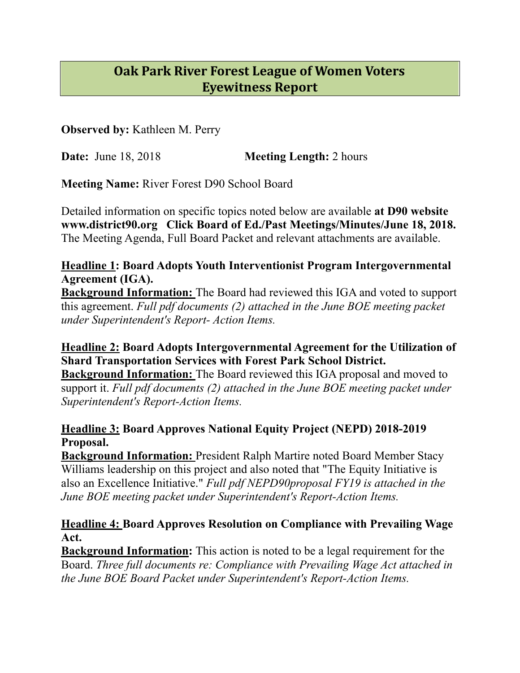# **Oak Park River Forest League of Women Voters Eyewitness Report**

**Observed by:** Kathleen M. Perry

**Date:** June 18, 2018 **Meeting Length:** 2 hours

**Meeting Name:** River Forest D90 School Board

Detailed information on specific topics noted below are available **at D90 website www.district90.org Click Board of Ed./Past Meetings/Minutes/June 18, 2018.**  The Meeting Agenda, Full Board Packet and relevant attachments are available.

# **Headline 1: Board Adopts Youth Interventionist Program Intergovernmental Agreement (IGA).**

**Background Information:** The Board had reviewed this IGA and voted to support this agreement. *Full pdf documents (2) attached in the June BOE meeting packet under Superintendent's Report- Action Items.* 

# **Headline 2: Board Adopts Intergovernmental Agreement for the Utilization of Shard Transportation Services with Forest Park School District.**

**Background Information:** The Board reviewed this IGA proposal and moved to support it. *Full pdf documents (2) attached in the June BOE meeting packet under Superintendent's Report-Action Items.* 

## **Headline 3: Board Approves National Equity Project (NEPD) 2018-2019 Proposal.**

**Background Information: President Ralph Martire noted Board Member Stacy** Williams leadership on this project and also noted that "The Equity Initiative is also an Excellence Initiative." *Full pdf NEPD90proposal FY19 is attached in the June BOE meeting packet under Superintendent's Report-Action Items.* 

#### **Headline 4: Board Approves Resolution on Compliance with Prevailing Wage Act.**

**Background Information:** This action is noted to be a legal requirement for the Board. *Three full documents re: Compliance with Prevailing Wage Act attached in the June BOE Board Packet under Superintendent's Report-Action Items.*